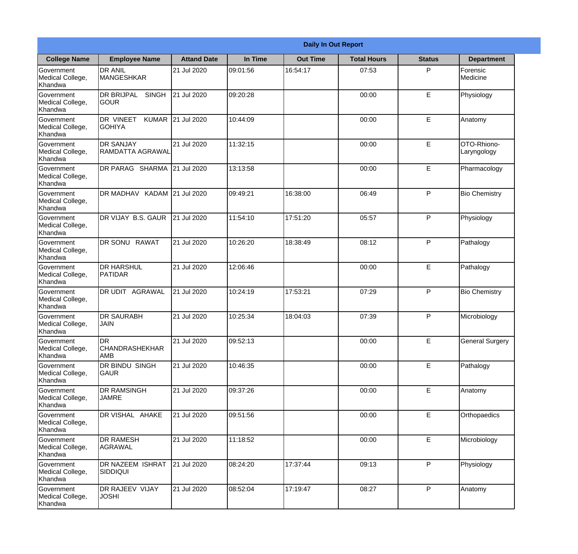|                                           |                                                  |                    |          | <b>Daily In Out Report</b> |                    |               |                            |
|-------------------------------------------|--------------------------------------------------|--------------------|----------|----------------------------|--------------------|---------------|----------------------------|
| <b>College Name</b>                       | <b>Employee Name</b>                             | <b>Attand Date</b> | In Time  | <b>Out Time</b>            | <b>Total Hours</b> | <b>Status</b> | <b>Department</b>          |
| Government<br>Medical College,<br>Khandwa | <b>DR ANIL</b><br><b>MANGESHKAR</b>              | 21 Jul 2020        | 09:01:56 | 16:54:17                   | 07:53              | P             | Forensic<br>Medicine       |
| Government<br>Medical College,<br>Khandwa | DR BRIJPAL<br><b>SINGH</b><br><b>GOUR</b>        | 21 Jul 2020        | 09:20:28 |                            | 00:00              | E             | Physiology                 |
| Government<br>Medical College,<br>Khandwa | DR VINEET<br><b>KUMAR</b><br><b>GOHIYA</b>       | 21 Jul 2020        | 10:44:09 |                            | 00:00              | E             | Anatomy                    |
| Government<br>Medical College,<br>Khandwa | <b>DR SANJAY</b><br>RAMDATTA AGRAWAL             | 21 Jul 2020        | 11:32:15 |                            | 00:00              | E             | OTO-Rhiono-<br>Laryngology |
| Government<br>Medical College,<br>Khandwa | DR PARAG SHARMA                                  | 21 Jul 2020        | 13:13:58 |                            | 00:00              | E             | Pharmacology               |
| Government<br>Medical College,<br>Khandwa | DR MADHAV KADAM 21 Jul 2020                      |                    | 09:49:21 | 16:38:00                   | 06:49              | P             | <b>Bio Chemistry</b>       |
| Government<br>Medical College,<br>Khandwa | DR VIJAY B.S. GAUR                               | 21 Jul 2020        | 11:54:10 | 17:51:20                   | 05:57              | P             | Physiology                 |
| Government<br>Medical College,<br>Khandwa | <b>DR SONU RAWAT</b>                             | 21 Jul 2020        | 10:26:20 | 18:38:49                   | 08:12              | P             | Pathalogy                  |
| Government<br>Medical College,<br>Khandwa | <b>DR HARSHUL</b><br>PATIDAR                     | 21 Jul 2020        | 12:06:46 |                            | 00:00              | E             | Pathalogy                  |
| Government<br>Medical College,<br>Khandwa | DR UDIT AGRAWAL                                  | 21 Jul 2020        | 10:24:19 | 17:53:21                   | 07:29              | P             | <b>Bio Chemistry</b>       |
| Government<br>Medical College,<br>Khandwa | <b>DR SAURABH</b><br><b>JAIN</b>                 | 21 Jul 2020        | 10:25:34 | 18:04:03                   | 07:39              | P             | Microbiology               |
| Government<br>Medical College,<br>Khandwa | <b>DR</b><br><b>CHANDRASHEKHAR</b><br><b>AMB</b> | 21 Jul 2020        | 09:52:13 |                            | 00:00              | E             | <b>General Surgery</b>     |
| Government<br>Medical College,<br>Khandwa | DR BINDU SINGH<br>GAUR                           | 21 Jul 2020        | 10:46:35 |                            | 00:00              | E             | Pathalogy                  |
| Government<br>Medical College,<br>Khandwa | DR RAMSINGH<br><b>JAMRE</b>                      | 21 Jul 2020        | 09:37:26 |                            | 00:00              | E             | Anatomy                    |
| Government<br>Medical College,<br>Khandwa | DR VISHAL AHAKE                                  | 21 Jul 2020        | 09:51:56 |                            | 00:00              | E             | Orthopaedics               |
| Government<br>Medical College,<br>Khandwa | <b>DR RAMESH</b><br>AGRAWAL                      | 21 Jul 2020        | 11:18:52 |                            | 00:00              | E             | Microbiology               |
| Government<br>Medical College,<br>Khandwa | DR NAZEEM ISHRAT<br><b>SIDDIQUI</b>              | 21 Jul 2020        | 08:24:20 | 17:37:44                   | 09:13              | P             | Physiology                 |
| Government<br>Medical College,<br>Khandwa | DR RAJEEV VIJAY<br><b>JOSHI</b>                  | 21 Jul 2020        | 08:52:04 | 17:19:47                   | 08:27              | P             | Anatomy                    |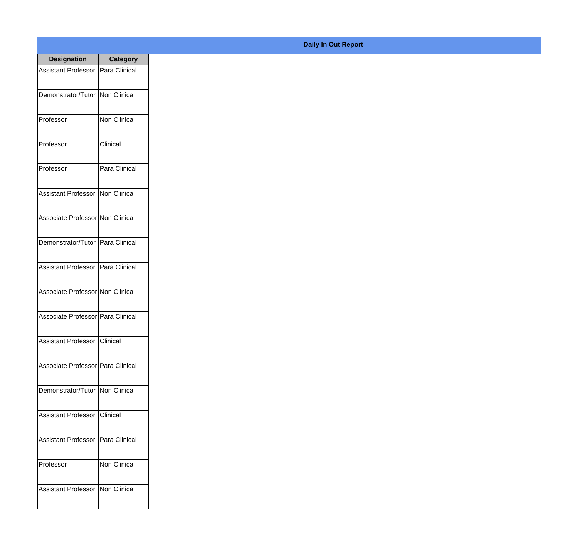| <b>Designation</b>                  | Category      |
|-------------------------------------|---------------|
| Assistant Professor   Para Clinical |               |
| Demonstrator/Tutor                  | Non Clinical  |
| Professor                           | Non Clinical  |
| Professor                           | Clinical      |
| Professor                           | Para Clinical |
| Assistant Professor                 | Non Clinical  |
| Associate Professor Non Clinical    |               |
| Demonstrator/Tutor   Para Clinical  |               |
| Assistant Professor                 | Para Clinical |
| Associate Professor Non Clinical    |               |
| Associate Professor   Para Clinical |               |
| Assistant Professor   Clinical      |               |
| Associate Professor Para Clinical   |               |
| Demonstrator/Tutor   Non Clinical   |               |
| <b>Assistant Professor</b>          | Clinical      |
| <b>Assistant Professor</b>          | Para Clinical |
| Professor                           | Non Clinical  |
| Assistant Professor   Non Clinical  |               |

## **Daily In Out Report**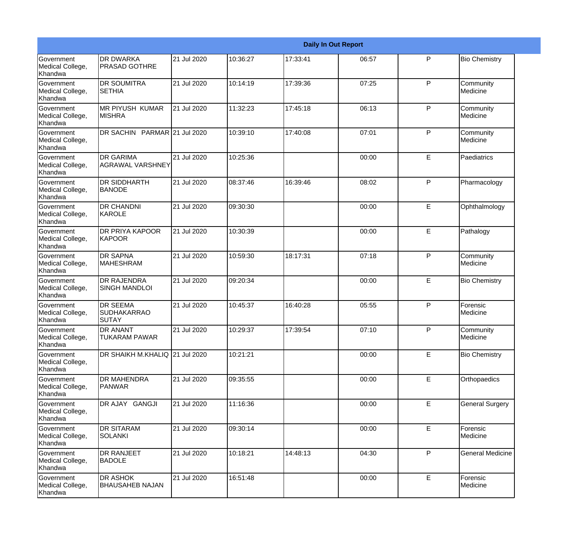|                                                  |                                                |             |          |          | <b>Daily In Out Report</b> |              |                         |
|--------------------------------------------------|------------------------------------------------|-------------|----------|----------|----------------------------|--------------|-------------------------|
| Government<br>Medical College,<br>Khandwa        | <b>DR DWARKA</b><br><b>PRASAD GOTHRE</b>       | 21 Jul 2020 | 10:36:27 | 17:33:41 | 06:57                      | P            | <b>Bio Chemistry</b>    |
| Government<br>Medical College,<br>Khandwa        | <b>DR SOUMITRA</b><br><b>I</b> SETHIA          | 21 Jul 2020 | 10:14:19 | 17:39:36 | 07:25                      | $\mathsf{P}$ | Community<br>Medicine   |
| <b>Government</b><br>Medical College,<br>Khandwa | <b>IMR PIYUSH KUMAR</b><br><b>MISHRA</b>       | 21 Jul 2020 | 11:32:23 | 17:45:18 | 06:13                      | $\mathsf{P}$ | Community<br>Medicine   |
| Government<br>Medical College,<br>Khandwa        | DR SACHIN PARMAR 21 Jul 2020                   |             | 10:39:10 | 17:40:08 | 07:01                      | $\mathsf{P}$ | Community<br>Medicine   |
| Government<br>Medical College,<br>Khandwa        | <b>DR GARIMA</b><br><b>AGRAWAL VARSHNEY</b>    | 21 Jul 2020 | 10:25:36 |          | 00:00                      | E            | Paediatrics             |
| Government<br>Medical College,<br><b>Khandwa</b> | <b>DR SIDDHARTH</b><br><b>BANODE</b>           | 21 Jul 2020 | 08:37:46 | 16:39:46 | 08:02                      | $\mathsf{P}$ | Pharmacology            |
| Government<br>Medical College,<br>Khandwa        | <b>DR CHANDNI</b><br>KAROLE                    | 21 Jul 2020 | 09:30:30 |          | 00:00                      | E            | Ophthalmology           |
| <b>Government</b><br>Medical College,<br>Khandwa | DR PRIYA KAPOOR<br><b>KAPOOR</b>               | 21 Jul 2020 | 10:30:39 |          | 00:00                      | E            | Pathalogy               |
| Government<br>Medical College,<br>Khandwa        | <b>DR SAPNA</b><br><b>MAHESHRAM</b>            | 21 Jul 2020 | 10:59:30 | 18:17:31 | 07:18                      | P            | Community<br>Medicine   |
| Government<br>Medical College,<br>Khandwa        | <b>DR RAJENDRA</b><br><b>SINGH MANDLOI</b>     | 21 Jul 2020 | 09:20:34 |          | 00:00                      | E            | <b>Bio Chemistry</b>    |
| <b>Government</b><br>Medical College,<br>Khandwa | <b>DR SEEMA</b><br><b>SUDHAKARRAO</b><br>SUTAY | 21 Jul 2020 | 10:45:37 | 16:40:28 | 05:55                      | P            | Forensic<br>Medicine    |
| Government<br>Medical College,<br>Khandwa        | DR ANANT<br><b>TUKARAM PAWAR</b>               | 21 Jul 2020 | 10:29:37 | 17:39:54 | 07:10                      | P            | Community<br>Medicine   |
| Government<br>Medical College,<br>Khandwa        | DR SHAIKH M.KHALIQ 21 Jul 2020                 |             | 10:21:21 |          | 00:00                      | E            | <b>Bio Chemistry</b>    |
| Government<br>Medical College,<br>Khandwa        | DR MAHENDRA<br><b>PANWAR</b>                   | 21 Jul 2020 | 09:35:55 |          | 00:00                      | E            | Orthopaedics            |
| Government<br>Medical College,<br>Khandwa        | DR AJAY GANGJI                                 | 21 Jul 2020 | 11:16:36 |          | 00:00                      | E            | <b>General Surgery</b>  |
| Government<br>Medical College,<br>Khandwa        | <b>DR SITARAM</b><br>SOLANKI                   | 21 Jul 2020 | 09:30:14 |          | 00:00                      | E            | Forensic<br>Medicine    |
| Government<br>Medical College,<br>Khandwa        | DR RANJEET<br><b>BADOLE</b>                    | 21 Jul 2020 | 10:18:21 | 14:48:13 | 04:30                      | P            | <b>General Medicine</b> |
| Government<br>Medical College,<br>Khandwa        | DR ASHOK<br><b>BHAUSAHEB NAJAN</b>             | 21 Jul 2020 | 16:51:48 |          | 00:00                      | E            | Forensic<br>Medicine    |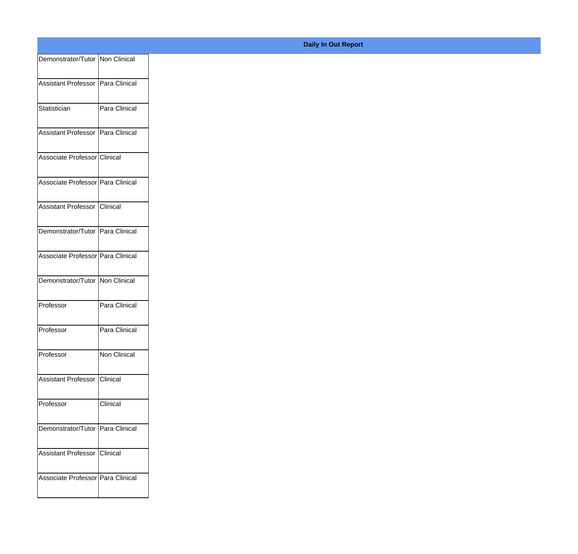| Demonstrator/Tutor Non Clinical   |                 |
|-----------------------------------|-----------------|
| Assistant Professor Para Clinical |                 |
|                                   |                 |
| Statistician                      | Para Clinical   |
| Assistant Professor Para Clinical |                 |
|                                   |                 |
| Associate Professor Clinical      |                 |
| Associate Professor Para Clinical |                 |
|                                   |                 |
| Assistant Professor Clinical      |                 |
| Demonstrator/Tutor Para Clinical  |                 |
| Associate Professor Para Clinical |                 |
|                                   |                 |
| Demonstrator/Tutor   Non Clinical |                 |
| Professor                         | Para Clinical   |
|                                   |                 |
| Professor                         | Para Clinical   |
| Professor                         | Non Clinical    |
| Assistant Professor   Clinical    |                 |
|                                   |                 |
| Professor                         | <b>Clinical</b> |
| Demonstrator/Tutor Para Clinical  |                 |
|                                   |                 |
| Assistant Professor Clinical      |                 |
| Associate Professor Para Clinical |                 |
|                                   |                 |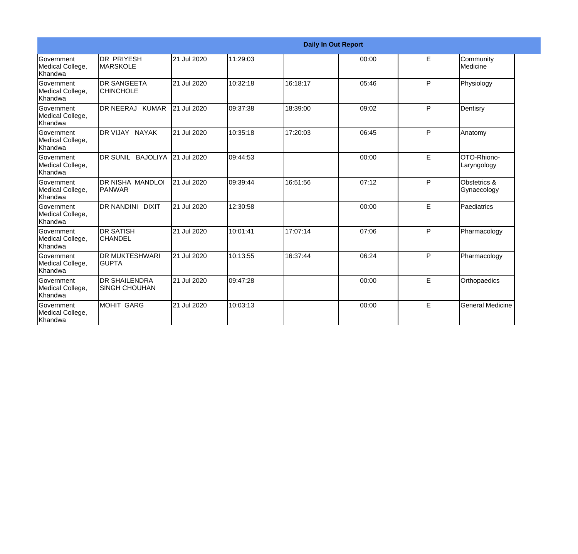|                                                         |                                              |             |          |          | <b>Daily In Out Report</b> |   |                             |
|---------------------------------------------------------|----------------------------------------------|-------------|----------|----------|----------------------------|---|-----------------------------|
| Government<br>Medical College,<br>Khandwa               | IDR PRIYESH<br><b>IMARSKOLE</b>              | 21 Jul 2020 | 11:29:03 |          | 00:00                      | E | Community<br>Medicine       |
| <b>Government</b><br>Medical College,<br><b>Khandwa</b> | <b>I</b> DR SANGEETA<br><b>CHINCHOLE</b>     | 21 Jul 2020 | 10:32:18 | 16:18:17 | 05:46                      | P | Physiology                  |
| <b>Government</b><br>Medical College,<br>Khandwa        | DR NEERAJ KUMAR                              | 21 Jul 2020 | 09:37:38 | 18:39:00 | 09:02                      | P | Dentisry                    |
| <b>Government</b><br>Medical College,<br>Khandwa        | DR VIJAY NAYAK                               | 21 Jul 2020 | 10:35:18 | 17:20:03 | 06:45                      | P | Anatomy                     |
| <b>Government</b><br>Medical College,<br>Khandwa        | DR SUNIL BAJOLIYA                            | 21 Jul 2020 | 09:44:53 |          | 00:00                      | E | OTO-Rhiono-<br>Laryngology  |
| <b>Government</b><br>Medical College,<br>Khandwa        | IDR NISHA MANDLOI<br>IPANWAR                 | 21 Jul 2020 | 09:39:44 | 16:51:56 | 07:12                      | P | Obstetrics &<br>Gynaecology |
| <b>Government</b><br>Medical College,<br>Khandwa        | <b>IDR NANDINI DIXIT</b>                     | 21 Jul 2020 | 12:30:58 |          | 00:00                      | E | Paediatrics                 |
| <b>Government</b><br>Medical College,<br><b>Khandwa</b> | IDR SATISH<br><b>CHANDEL</b>                 | 21 Jul 2020 | 10:01:41 | 17:07:14 | 07:06                      | P | Pharmacology                |
| Government<br>Medical College,<br><b>Khandwa</b>        | <b>DR MUKTESHWARI</b><br><b>I</b> GUPTA      | 21 Jul 2020 | 10:13:55 | 16:37:44 | 06:24                      | P | Pharmacology                |
| <b>Government</b><br>Medical College,<br>Khandwa        | <b>DR SHAILENDRA</b><br><b>SINGH CHOUHAN</b> | 21 Jul 2020 | 09:47:28 |          | 00:00                      | E | Orthopaedics                |
| <b>Government</b><br>Medical College,<br>Khandwa        | IMOHIT GARG                                  | 21 Jul 2020 | 10:03:13 |          | 00:00                      | E | <b>General Medicine</b>     |